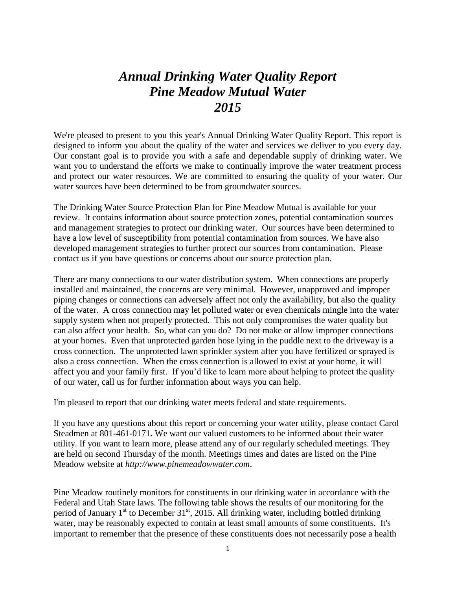## *Annual Drinking Water Quality Report Pine Meadow Mutual Water 2015*

We're pleased to present to you this year's Annual Drinking Water Quality Report. This report is designed to inform you about the quality of the water and services we deliver to you every day. Our constant goal is to provide you with a safe and dependable supply of drinking water. We want you to understand the efforts we make to continually improve the water treatment process and protect our water resources. We are committed to ensuring the quality of your water. Our water sources have been determined to be from groundwater sources.

The Drinking Water Source Protection Plan for Pine Meadow Mutual is available for your review. It contains information about source protection zones, potential contamination sources and management strategies to protect our drinking water. Our sources have been determined to have a low level of susceptibility from potential contamination from sources. We have also developed management strategies to further protect our sources from contamination. Please contact us if you have questions or concerns about our source protection plan.

There are many connections to our water distribution system. When connections are properly installed and maintained, the concerns are very minimal. However, unapproved and improper piping changes or connections can adversely affect not only the availability, but also the quality of the water. A cross connection may let polluted water or even chemicals mingle into the water supply system when not properly protected. This not only compromises the water quality but can also affect your health. So, what can you do? Do not make or allow improper connections at your homes. Even that unprotected garden hose lying in the puddle next to the driveway is a cross connection. The unprotected lawn sprinkler system after you have fertilized or sprayed is also a cross connection. When the cross connection is allowed to exist at your home, it will affect you and your family first. If you'd like to learn more about helping to protect the quality of our water, call us for further information about ways you can help.

I'm pleased to report that our drinking water meets federal and state requirements.

If you have any questions about this report or concerning your water utility, please contact Carol Steadmen at 801-461-0171**.** We want our valued customers to be informed about their water utility. If you want to learn more, please attend any of our regularly scheduled meetings. They are held on second Thursday of the month. Meetings times and dates are listed on the Pine Meadow website at *http://www.pinemeadowwater.com*.

Pine Meadow routinely monitors for constituents in our drinking water in accordance with the Federal and Utah State laws. The following table shows the results of our monitoring for the period of January  $1<sup>st</sup>$  to December 31 $<sup>st</sup>$ , 2015. All drinking water, including bottled drinking</sup> water, may be reasonably expected to contain at least small amounts of some constituents. It's important to remember that the presence of these constituents does not necessarily pose a health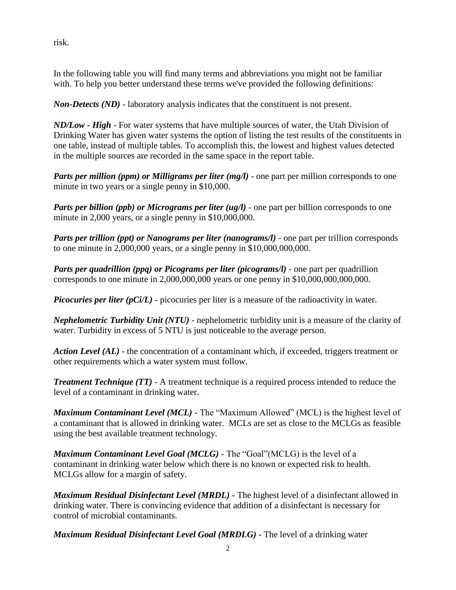risk.

In the following table you will find many terms and abbreviations you might not be familiar with. To help you better understand these terms we've provided the following definitions:

*Non-Detects (ND)* - laboratory analysis indicates that the constituent is not present.

*ND/Low - High -* For water systems that have multiple sources of water, the Utah Division of Drinking Water has given water systems the option of listing the test results of the constituents in one table, instead of multiple tables. To accomplish this, the lowest and highest values detected in the multiple sources are recorded in the same space in the report table.

*Parts per million (ppm) or Milligrams per liter (mg/l)* - one part per million corresponds to one minute in two years or a single penny in \$10,000.

*Parts per billion (ppb) or Micrograms per liter (ug/l)* - one part per billion corresponds to one minute in 2,000 years, or a single penny in \$10,000,000.

*Parts per trillion (ppt) or Nanograms per liter (nanograms/l)* - one part per trillion corresponds to one minute in 2,000,000 years, or a single penny in \$10,000,000,000.

*Parts per quadrillion (ppq) or Picograms per liter (picograms/l)* - one part per quadrillion corresponds to one minute in 2,000,000,000 years or one penny in \$10,000,000,000,000.

*Picocuries per liter (pCi/L)* - picocuries per liter is a measure of the radioactivity in water.

*Nephelometric Turbidity Unit (NTU)* - nephelometric turbidity unit is a measure of the clarity of water. Turbidity in excess of 5 NTU is just noticeable to the average person.

*Action Level (AL)* - the concentration of a contaminant which, if exceeded, triggers treatment or other requirements which a water system must follow.

*Treatment Technique (TT)* - A treatment technique is a required process intended to reduce the level of a contaminant in drinking water.

*Maximum Contaminant Level (MCL)* - The "Maximum Allowed" (MCL) is the highest level of a contaminant that is allowed in drinking water. MCLs are set as close to the MCLGs as feasible using the best available treatment technology.

*Maximum Contaminant Level Goal (MCLG)* - The "Goal"(MCLG) is the level of a contaminant in drinking water below which there is no known or expected risk to health. MCLGs allow for a margin of safety.

*Maximum Residual Disinfectant Level (MRDL)* - The highest level of a disinfectant allowed in drinking water. There is convincing evidence that addition of a disinfectant is necessary for control of microbial contaminants.

*Maximum Residual Disinfectant Level Goal (MRDLG)* - The level of a drinking water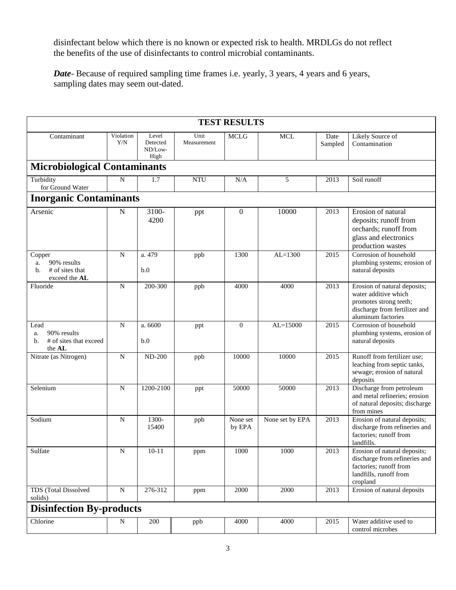disinfectant below which there is no known or expected risk to health. MRDLGs do not reflect the benefits of the use of disinfectants to control microbial contaminants.

*Date*- Because of required sampling time frames i.e. yearly, 3 years, 4 years and 6 years, sampling dates may seem out-dated.

|                                                                       |                  |                                      |                     | <b>TEST RESULTS</b> |                 |                 |                                                                                                                                       |
|-----------------------------------------------------------------------|------------------|--------------------------------------|---------------------|---------------------|-----------------|-----------------|---------------------------------------------------------------------------------------------------------------------------------------|
| Contaminant                                                           | Violation<br>Y/N | Level<br>Detected<br>ND/Low-<br>High | Unit<br>Measurement | <b>MCLG</b>         | <b>MCL</b>      | Date<br>Sampled | Likely Source of<br>Contamination                                                                                                     |
| <b>Microbiological Contaminants</b>                                   |                  |                                      |                     |                     |                 |                 |                                                                                                                                       |
| Turbidity<br>for Ground Water                                         | N                | 1.7                                  | <b>NTU</b>          | N/A                 | 5               | 2013            | Soil runoff                                                                                                                           |
| <b>Inorganic Contaminants</b>                                         |                  |                                      |                     |                     |                 |                 |                                                                                                                                       |
| Arsenic                                                               | N                | 3100-<br>4200                        | ppt                 | $\boldsymbol{0}$    | 10000           | 2013            | Erosion of natural<br>deposits; runoff from<br>orchards; runoff from<br>glass and electronics<br>production wastes                    |
| Copper<br>90% results<br>a.<br># of sites that<br>b.<br>exceed the AL | ${\bf N}$        | a. 479<br>b.0                        | ppb                 | 1300                | $AL=1300$       | 2015            | Corrosion of household<br>plumbing systems; erosion of<br>natural deposits                                                            |
| Fluoride                                                              | $\mathbf N$      | 200-300                              | ppb                 | 4000                | 4000            | 2013            | Erosion of natural deposits;<br>water additive which<br>promotes strong teeth;<br>discharge from fertilizer and<br>aluminum factories |
| Lead<br>90% results<br>a.<br># of sites that exceed<br>b.<br>the AL   | $\mathbf N$      | a. 6600<br>b.0                       | ppt                 | $\theta$            | $AL = 15000$    | 2015            | Corrosion of household<br>plumbing systems, erosion of<br>natural deposits                                                            |
| Nitrate (as Nitrogen)                                                 | $\mathbf N$      | <b>ND-200</b>                        | ppb                 | 10000               | 10000           | 2015            | Runoff from fertilizer use;<br>leaching from septic tanks,<br>sewage; erosion of natural<br>deposits                                  |
| Selenium                                                              | ${\bf N}$        | 1200-2100                            | ppt                 | 50000               | 50000           | 2013            | Discharge from petroleum<br>and metal refineries; erosion<br>of natural deposits; discharge<br>from mines                             |
| Sodium                                                                | N                | 1300-<br>15400                       | ppb                 | None set<br>by EPA  | None set by EPA | 2013            | Erosion of natural deposits;<br>discharge from refineries and<br>factories; runoff from<br>landfills.                                 |
| Sulfate                                                               | N                | 10-11                                | ppm                 | 1000                | 1000            | 2013            | Erosion of natural deposits;<br>discharge from refineries and<br>factories; runoff from<br>landfills, runoff from<br>cropland         |
| <b>TDS</b> (Total Dissolved<br>solids)                                | ${\bf N}$        | 276-312                              | ppm                 | 2000                | 2000            | 2013            | Erosion of natural deposits                                                                                                           |
| <b>Disinfection By-products</b>                                       |                  |                                      |                     |                     |                 |                 |                                                                                                                                       |
| Chlorine                                                              | N                | 200                                  | ppb                 | 4000                | 4000            | 2015            | Water additive used to<br>control microbes                                                                                            |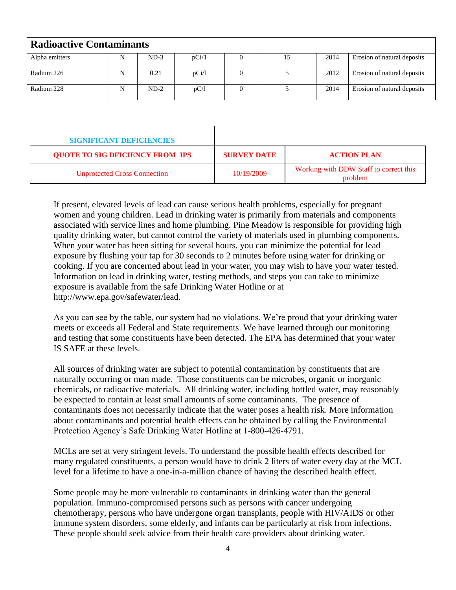| <b>Radioactive Contaminants</b> |   |        |       |  |    |      |                             |
|---------------------------------|---|--------|-------|--|----|------|-----------------------------|
| Alpha emitters                  | N | $ND-3$ | pCi/1 |  | 15 | 2014 | Erosion of natural deposits |
| Radium 226                      | N | 0.21   | pCi/1 |  |    | 2012 | Erosion of natural deposits |
| Radium 228                      | N | $ND-2$ | pC/I  |  |    | 2014 | Erosion of natural deposits |

| <b>SIGNIFICANT DEFICIENCIES</b>        |                    |                                                   |
|----------------------------------------|--------------------|---------------------------------------------------|
| <b>QUOTE TO SIG DFICIENCY FROM IPS</b> | <b>SURVEY DATE</b> | <b>ACTION PLAN</b>                                |
| <b>Unprotected Cross Connection</b>    | 10/19/2009         | Working with DDW Staff to correct this<br>problem |

If present, elevated levels of lead can cause serious health problems, especially for pregnant women and young children. Lead in drinking water is primarily from materials and components associated with service lines and home plumbing. Pine Meadow is responsible for providing high quality drinking water, but cannot control the variety of materials used in plumbing components. When your water has been sitting for several hours, you can minimize the potential for lead exposure by flushing your tap for 30 seconds to 2 minutes before using water for drinking or cooking. If you are concerned about lead in your water, you may wish to have your water tested. Information on lead in drinking water, testing methods, and steps you can take to minimize exposure is available from the safe Drinking Water Hotline or at http://www.epa.gov/safewater/lead.

As you can see by the table, our system had no violations. We're proud that your drinking water meets or exceeds all Federal and State requirements. We have learned through our monitoring and testing that some constituents have been detected. The EPA has determined that your water IS SAFE at these levels.

All sources of drinking water are subject to potential contamination by constituents that are naturally occurring or man made. Those constituents can be microbes, organic or inorganic chemicals, or radioactive materials. All drinking water, including bottled water, may reasonably be expected to contain at least small amounts of some contaminants. The presence of contaminants does not necessarily indicate that the water poses a health risk. More information about contaminants and potential health effects can be obtained by calling the Environmental Protection Agency's Safe Drinking Water Hotline at 1-800-426-4791.

MCLs are set at very stringent levels. To understand the possible health effects described for many regulated constituents, a person would have to drink 2 liters of water every day at the MCL level for a lifetime to have a one-in-a-million chance of having the described health effect.

Some people may be more vulnerable to contaminants in drinking water than the general population. Immuno-compromised persons such as persons with cancer undergoing chemotherapy, persons who have undergone organ transplants, people with HIV/AIDS or other immune system disorders, some elderly, and infants can be particularly at risk from infections. These people should seek advice from their health care providers about drinking water.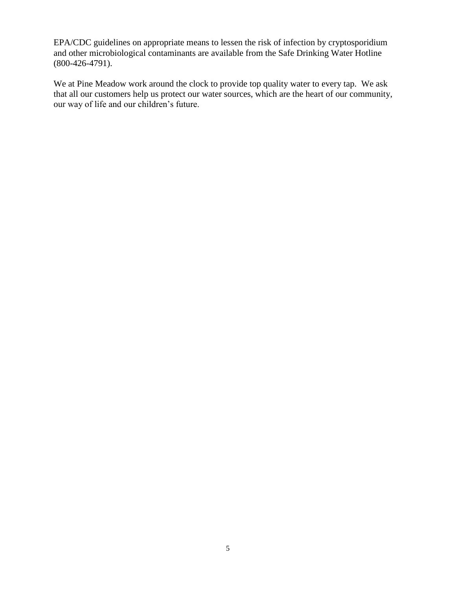EPA/CDC guidelines on appropriate means to lessen the risk of infection by cryptosporidium and other microbiological contaminants are available from the Safe Drinking Water Hotline (800-426-4791).

We at Pine Meadow work around the clock to provide top quality water to every tap. We ask that all our customers help us protect our water sources, which are the heart of our community, our way of life and our children's future.